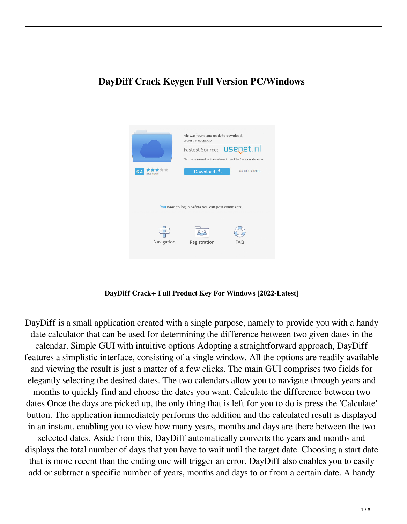# **DayDiff Crack Keygen Full Version PC/Windows**



**DayDiff Crack+ Full Product Key For Windows [2022-Latest]**

DayDiff is a small application created with a single purpose, namely to provide you with a handy date calculator that can be used for determining the difference between two given dates in the calendar. Simple GUI with intuitive options Adopting a straightforward approach, DayDiff features a simplistic interface, consisting of a single window. All the options are readily available and viewing the result is just a matter of a few clicks. The main GUI comprises two fields for elegantly selecting the desired dates. The two calendars allow you to navigate through years and months to quickly find and choose the dates you want. Calculate the difference between two dates Once the days are picked up, the only thing that is left for you to do is press the 'Calculate' button. The application immediately performs the addition and the calculated result is displayed in an instant, enabling you to view how many years, months and days are there between the two selected dates. Aside from this, DayDiff automatically converts the years and months and displays the total number of days that you have to wait until the target date. Choosing a start date that is more recent than the ending one will trigger an error. DayDiff also enables you to easily

add or subtract a specific number of years, months and days to or from a certain date. A handy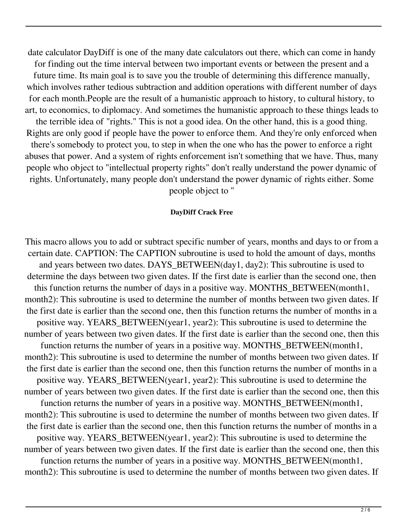date calculator DayDiff is one of the many date calculators out there, which can come in handy for finding out the time interval between two important events or between the present and a future time. Its main goal is to save you the trouble of determining this difference manually, which involves rather tedious subtraction and addition operations with different number of days for each month.People are the result of a humanistic approach to history, to cultural history, to art, to economics, to diplomacy. And sometimes the humanistic approach to these things leads to the terrible idea of "rights." This is not a good idea. On the other hand, this is a good thing. Rights are only good if people have the power to enforce them. And they're only enforced when there's somebody to protect you, to step in when the one who has the power to enforce a right abuses that power. And a system of rights enforcement isn't something that we have. Thus, many people who object to "intellectual property rights" don't really understand the power dynamic of rights. Unfortunately, many people don't understand the power dynamic of rights either. Some people object to "

### **DayDiff Crack Free**

This macro allows you to add or subtract specific number of years, months and days to or from a certain date. CAPTION: The CAPTION subroutine is used to hold the amount of days, months and years between two dates. DAYS\_BETWEEN(day1, day2): This subroutine is used to determine the days between two given dates. If the first date is earlier than the second one, then this function returns the number of days in a positive way. MONTHS\_BETWEEN(month1, month2): This subroutine is used to determine the number of months between two given dates. If the first date is earlier than the second one, then this function returns the number of months in a positive way. YEARS\_BETWEEN(year1, year2): This subroutine is used to determine the number of years between two given dates. If the first date is earlier than the second one, then this function returns the number of years in a positive way. MONTHS\_BETWEEN(month1, month2): This subroutine is used to determine the number of months between two given dates. If the first date is earlier than the second one, then this function returns the number of months in a positive way. YEARS\_BETWEEN(year1, year2): This subroutine is used to determine the number of years between two given dates. If the first date is earlier than the second one, then this function returns the number of years in a positive way. MONTHS BETWEEN(month1, month2): This subroutine is used to determine the number of months between two given dates. If the first date is earlier than the second one, then this function returns the number of months in a positive way. YEARS\_BETWEEN(year1, year2): This subroutine is used to determine the number of years between two given dates. If the first date is earlier than the second one, then this function returns the number of years in a positive way. MONTHS\_BETWEEN(month1, month2): This subroutine is used to determine the number of months between two given dates. If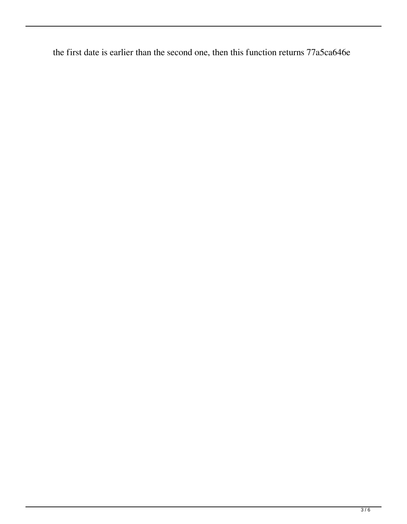the first date is earlier than the second one, then this function returns 77a5ca646e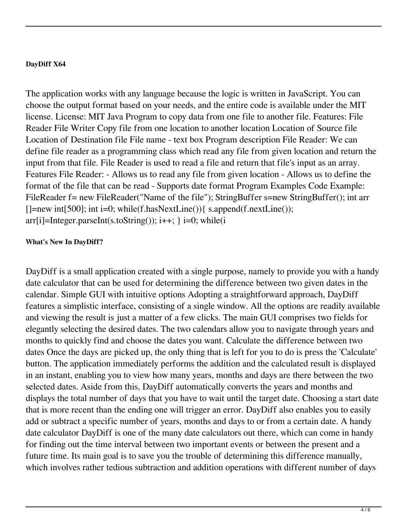### **DayDiff X64**

The application works with any language because the logic is written in JavaScript. You can choose the output format based on your needs, and the entire code is available under the MIT license. License: MIT Java Program to copy data from one file to another file. Features: File Reader File Writer Copy file from one location to another location Location of Source file Location of Destination file File name - text box Program description File Reader: We can define file reader as a programming class which read any file from given location and return the input from that file. File Reader is used to read a file and return that file's input as an array. Features File Reader: - Allows us to read any file from given location - Allows us to define the format of the file that can be read - Supports date format Program Examples Code Example: FileReader f= new FileReader("Name of the file"); StringBuffer s=new StringBuffer(); int arr  $[$ ]=new int[500]; int i=0; while(f.hasNextLine()){ s.append(f.nextLine());  $arr[i] = Integer.parseInt(s.toString()); i++)$ ;  $i=0; while(i)$ 

## **What's New In DayDiff?**

DayDiff is a small application created with a single purpose, namely to provide you with a handy date calculator that can be used for determining the difference between two given dates in the calendar. Simple GUI with intuitive options Adopting a straightforward approach, DayDiff features a simplistic interface, consisting of a single window. All the options are readily available and viewing the result is just a matter of a few clicks. The main GUI comprises two fields for elegantly selecting the desired dates. The two calendars allow you to navigate through years and months to quickly find and choose the dates you want. Calculate the difference between two dates Once the days are picked up, the only thing that is left for you to do is press the 'Calculate' button. The application immediately performs the addition and the calculated result is displayed in an instant, enabling you to view how many years, months and days are there between the two selected dates. Aside from this, DayDiff automatically converts the years and months and displays the total number of days that you have to wait until the target date. Choosing a start date that is more recent than the ending one will trigger an error. DayDiff also enables you to easily add or subtract a specific number of years, months and days to or from a certain date. A handy date calculator DayDiff is one of the many date calculators out there, which can come in handy for finding out the time interval between two important events or between the present and a future time. Its main goal is to save you the trouble of determining this difference manually, which involves rather tedious subtraction and addition operations with different number of days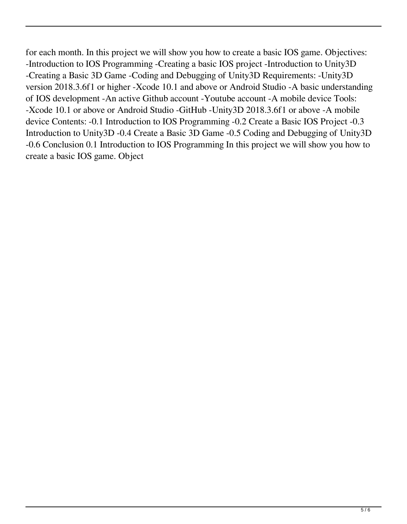for each month. In this project we will show you how to create a basic IOS game. Objectives: -Introduction to IOS Programming -Creating a basic IOS project -Introduction to Unity3D -Creating a Basic 3D Game -Coding and Debugging of Unity3D Requirements: -Unity3D version 2018.3.6f1 or higher -Xcode 10.1 and above or Android Studio -A basic understanding of IOS development -An active Github account -Youtube account -A mobile device Tools: -Xcode 10.1 or above or Android Studio -GitHub -Unity3D 2018.3.6f1 or above -A mobile device Contents: -0.1 Introduction to IOS Programming -0.2 Create a Basic IOS Project -0.3 Introduction to Unity3D -0.4 Create a Basic 3D Game -0.5 Coding and Debugging of Unity3D -0.6 Conclusion 0.1 Introduction to IOS Programming In this project we will show you how to create a basic IOS game. Object